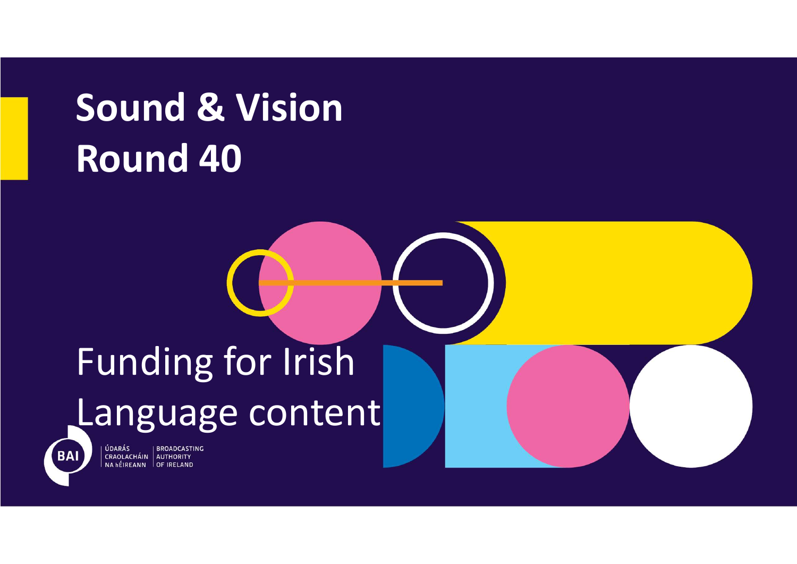# Sound & Vision Sound & Vision

## Funding for Irish Language content



ÚDARÁS **BROADCASTING** CRAOLACHÁIN AUTHORITY<br>NA hÉIREANN OF IRELAND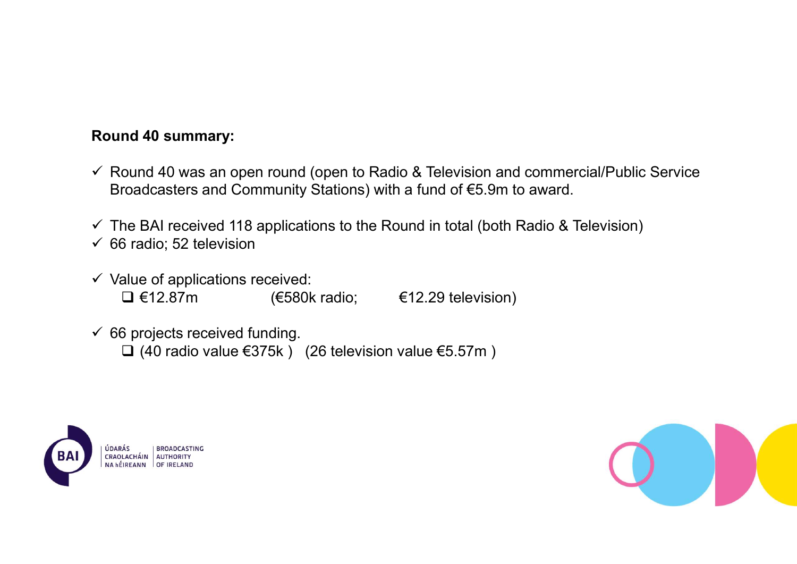### Round 40 summary:

- $\checkmark$  Round 40 was an open round (open to Radio & Television and commercial/Public Service Broadcasters and Community Stations) with a fund of €5.9m to award. nd 40 summary:<br>
ound 40 was an open round (open to Radio & Television and commercial/Public Service<br>
roadcasters and Community Stations) with a fund of €5.9m to award.<br>
The BAI received 118 applications to the Round in to Mumd 40 summary:<br>
2000 40 was an open round (open to Radio & Television and commercial/Public Service<br>
Froadcasters and Community Stations) with a fund of €5.9m to award.<br>
The BAI received 118 applications to the Round i
- $\checkmark$  The BAI received 118 applications to the Round in total (both Radio & Television)
- $\checkmark$  66 radio; 52 television
- $\checkmark$  Value of applications received:
- $66$  projects received funding.
	-



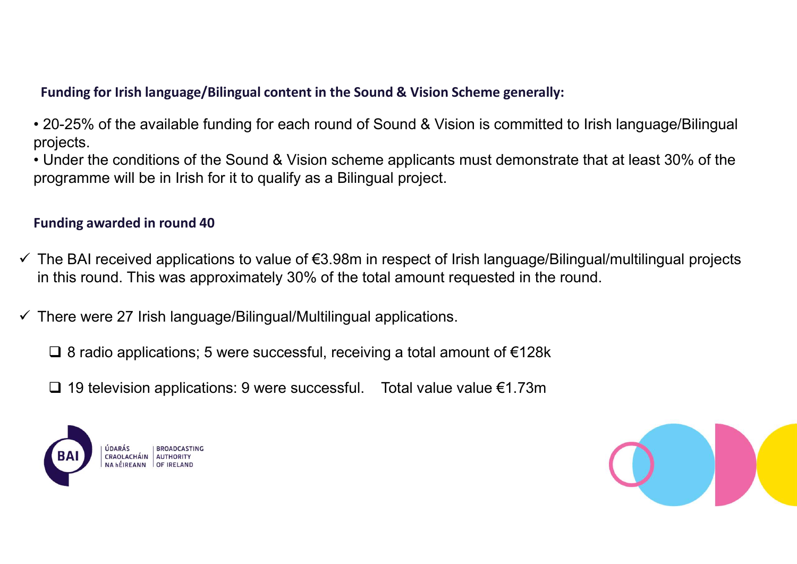Funding for Irish language/Bilingual content in the Sound & Vision Scheme generally:<br>20-25% of the available funding for each round of Sound & Vision is committed to Irish language/Bilingual<br>rojects.<br>Under the conditions o projects.

Funding for Irish language/Bilingual content in the Sound & Vision Scheme generally:<br>• 20-25% of the available funding for each round of Sound & Vision is committed to Irish language/Bilingual<br>• Under the conditions of the Funding for Irish language/Bilingual content in the Sound & Vision Scheme generally:<br>• 20-25% of the available funding for each round of Sound & Vision is committed to Irish language/Bilingual<br>• Under the conditions of the programme will be in Irish for it to qualify as a Bilingual project. Funding for Irish language/Bilingual content in the Sound & Vision Scheme g<br>• 20-25% of the available funding for each round of Sound & Vision is co<br>projects.<br>• Under the conditions of the Sound & Vision scheme applicants

- 9 Fects.<br>
19 holder the conditions of the Sound & Vision scheme applicants must demonstrate that at least 30% of the<br>
9 organme will be in Irish for it to qualify as a Bilingual project.<br>
19 the BAI received applications The BAI received applications to value of €3.98m in respect of Irish language/Bilingual/multilingual projects in this round. This was approximately 30% of the total amount requested in the round.
- $\checkmark$  There were 27 Irish language/Bilingual/Multilingual applications.

8 radio applications; 5 were successful, receiving a total amount of €128k



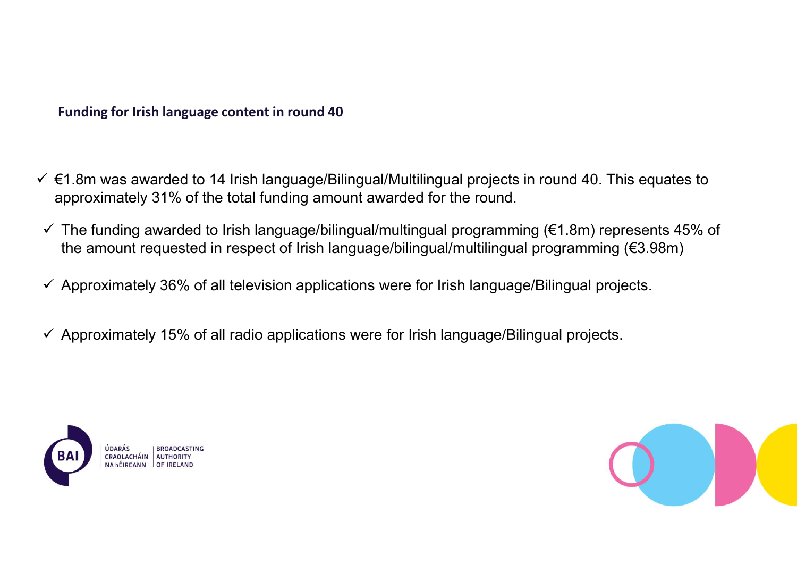- Funding for Irish language content in round 40<br>Funding for Irish language content in round 40<br>F1.8m was awarded to 14 Irish language/Bilingual/Multilingual projects in round 40. This Funding for Irish language content in round 40<br>
← €1.8m was awarded to 14 Irish language/Bilingual/Multilingual projects in round 40. This equates to<br>
approximately 31% of the total funding amount awarded for the round.<br> approximately 31% of the total funding amount awarded for the round.
- Funding for Irish language content in round 40<br>  $\epsilon$ 1.8m was awarded to 14 Irish language/Bilingual/Multilingual projects in round 40. This equates to<br>  $\epsilon$  The funding awarded to Irish language/bilingual/multingual prog the amount requested in respect of Irish language/bilingual/multilingual programming (€3.98m)
- $\checkmark$  Approximately 36% of all television applications were for Irish language/Bilingual projects.
- $\checkmark$  Approximately 15% of all radio applications were for Irish language/Bilingual projects.



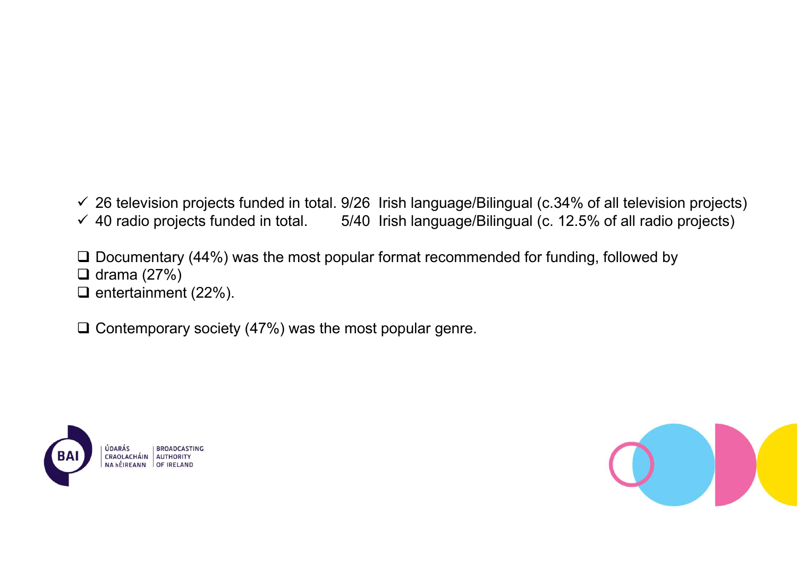$\checkmark$  26 television projects funded in total. 9/26 Irish language/Bilingual (c.34% of all television projects)<br>  $\checkmark$  40 radio projects funded in total. 5/40 Irish language/Bilingual (c. 12.5% of all radio projects)<br>
□ D V 26 television projects funded in total. 9/26 Irish language/Bilingual (c.34% of all television projects)<br>V 40 radio projects funded in total. 5/40 Irish language/Bilingual (c. 12.5% of all radio projects)<br>□ Docu

□ Documentary (44%) was the most popular format recommended for funding, followed by  $\Box$  drama (27%)

 $\Box$  entertainment (22%).

 $\Box$  Contemporary society (47%) was the most popular genre.